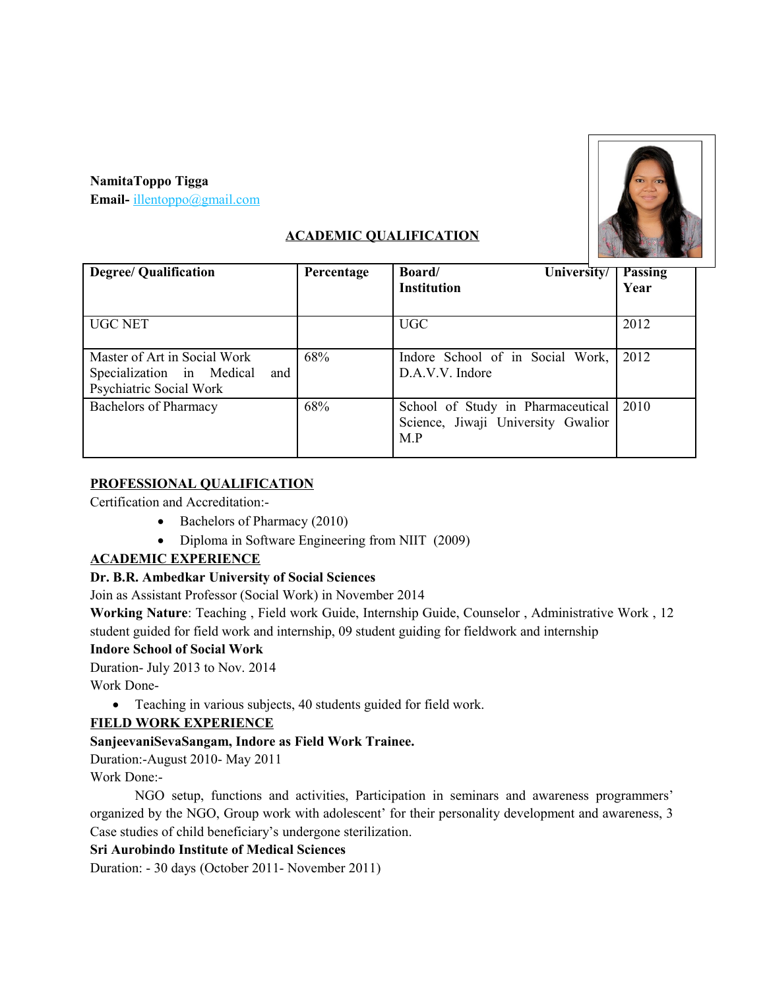#### **NamitaToppo Tigga**

**Email-** [illentoppo@gmail.com](mailto:illentoppo@gmail.com)



## **ACADEMIC QUALIFICATION**

| <b>Degree/ Qualification</b>                                                                | Percentage | University/<br><b>Board</b><br><b>Institution</b>                              | <b>Passing</b><br>Year |
|---------------------------------------------------------------------------------------------|------------|--------------------------------------------------------------------------------|------------------------|
|                                                                                             |            |                                                                                |                        |
| <b>UGC NET</b>                                                                              |            | <b>UGC</b>                                                                     | 2012                   |
| Master of Art in Social Work<br>Specialization in Medical<br>and<br>Psychiatric Social Work | 68%        | Indore School of in Social Work,<br>D.A.V.V. Indore                            | 2012                   |
| <b>Bachelors of Pharmacy</b>                                                                | 68%        | School of Study in Pharmaceutical<br>Science, Jiwaji University Gwalior<br>M.P | 2010                   |

## **PROFESSIONAL QUALIFICATION**

Certification and Accreditation:-

- Bachelors of Pharmacy (2010)
- Diploma in Software Engineering from NIIT (2009)

# **ACADEMIC EXPERIENCE**

# **Dr. B.R. Ambedkar University of Social Sciences**

Join as Assistant Professor (Social Work) in November 2014

**Working Nature**: Teaching , Field work Guide, Internship Guide, Counselor , Administrative Work , 12 student guided for field work and internship, 09 student guiding for fieldwork and internship

#### **Indore School of Social Work**

Duration- July 2013 to Nov. 2014

Work Done-

Teaching in various subjects, 40 students guided for field work.

#### **FIELD WORK EXPERIENCE**

#### **SanjeevaniSevaSangam, Indore as Field Work Trainee.**

Duration:-August 2010- May 2011

Work Done:-

NGO setup, functions and activities, Participation in seminars and awareness programmers' organized by the NGO, Group work with adolescent' for their personality development and awareness, 3 Case studies of child beneficiary's undergone sterilization.

#### **Sri Aurobindo Institute of Medical Sciences**

Duration: - 30 days (October 2011- November 2011)